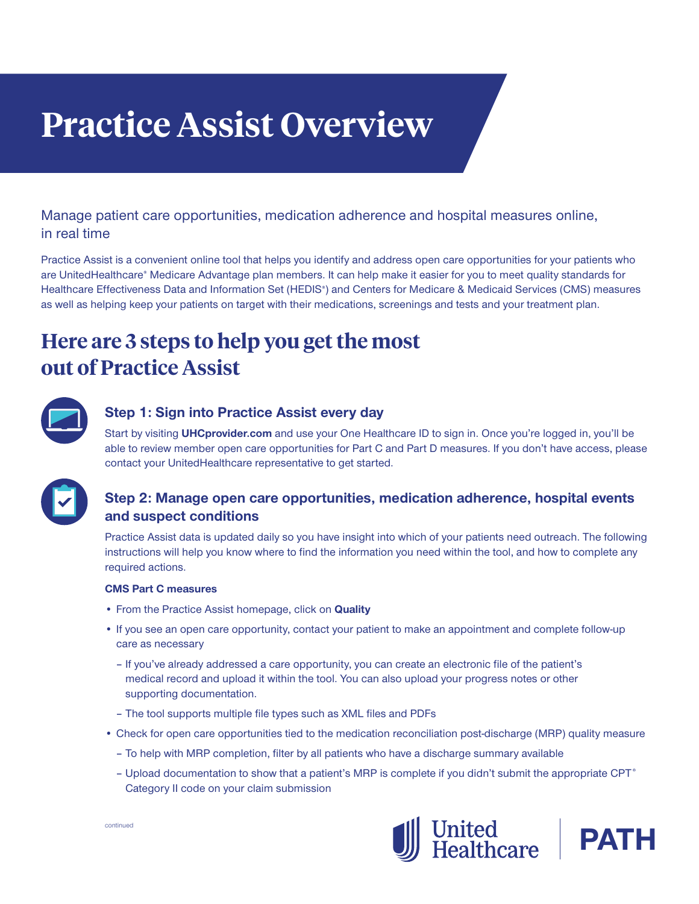# **Practice Assist Overview**

# Manage patient care opportunities, medication adherence and hospital measures online, in real time

Practice Assist is a convenient online tool that helps you identify and address open care opportunities for your patients who are UnitedHealthcare® Medicare Advantage plan members. It can help make it easier for you to meet quality standards for Healthcare Effectiveness Data and Information Set (HEDIS®) and Centers for Medicare & Medicaid Services (CMS) measures as well as helping keep your patients on target with their medications, screenings and tests and your treatment plan.

# **Here are 3 steps to help you get the most out of Practice Assist**



## **Step 1: Sign into Practice Assist every day**

Start by visiting **UHCprovider.com** and use your One Healthcare ID to sign in. Once you're logged in, you'll be able to review member open care opportunities for Part C and Part D measures. If you don't have access, please contact your UnitedHealthcare representative to get started.



# **Step 2: Manage open care opportunities, medication adherence, hospital events and suspect conditions**

Practice Assist data is updated daily so you have insight into which of your patients need outreach. The following instructions will help you know where to find the information you need within the tool, and how to complete any required actions.

#### **CMS Part C measures**

- From the Practice Assist homepage, click on **Quality**
- If you see an open care opportunity, contact your patient to make an appointment and complete follow-up care as necessary
	- If you've already addressed a care opportunity, you can create an electronic file of the patient's medical record and upload it within the tool. You can also upload your progress notes or other supporting documentation.
	- The tool supports multiple file types such as XML files and PDFs
- Check for open care opportunities tied to the medication reconciliation post-discharge (MRP) quality measure
	- To help with MRP completion, filter by all patients who have a discharge summary available
	- Upload documentation to show that a patient's MRP is complete if you didn't submit the appropriate CPT<sup>®</sup> Category II code on your claim submission



**PAT**